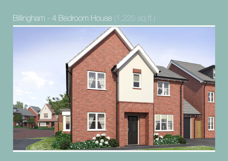## Billingham - 4 Bedroom House (1,225 sq.ft.)